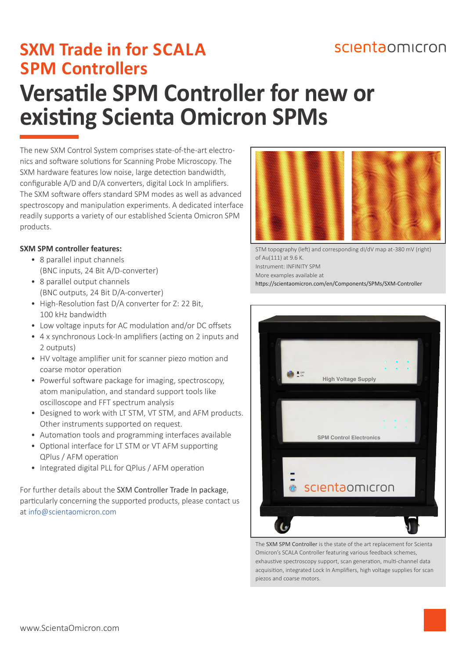## scientaomicron

# **Versatile SPM Controller for new or existing Scienta Omicron SPMs SXM Trade in for SCALA SPM Controllers**

The new SXM Control System comprises state-of-the-art electronics and software solutions for Scanning Probe Microscopy. The SXM hardware features low noise, large detection bandwidth, configurable A/D and D/A converters, digital Lock In amplifiers. The SXM software offers standard SPM modes as well as advanced spectroscopy and manipulation experiments. A dedicated interface readily supports a variety of our established Scienta Omicron SPM products.

### **SXM SPM controller features:**

- 8 parallel input channels (BNC inputs, 24 Bit A/D-converter)
- 8 parallel output channels (BNC outputs, 24 Bit D/A-converter)
- High-Resolution fast D/A converter for Z: 22 Bit, 100 kHz bandwidth
- Low voltage inputs for AC modulation and/or DC offsets
- 4 x synchronous Lock-In amplifiers (acting on 2 inputs and 2 outputs)
- HV voltage amplifier unit for scanner piezo motion and coarse motor operation
- Powerful software package for imaging, spectroscopy, atom manipulation, and standard support tools like oscilloscope and FFT spectrum analysis
- Designed to work with LT STM, VT STM, and AFM products. Other instruments supported on request.
- Automation tools and programming interfaces available
- Optional interface for LT STM or VT AFM supporting QPlus / AFM operation
- Integrated digital PLL for QPlus / AFM operation

For further details about the SXM Controller Trade In package, particularly concerning the supported products, please contact us at [info@scientaomicron.com](mailto:info%40scientaomicron.com?subject=Regarding%20the%20SXM%20Controller%20Trade%20In%20Package)



STM topography (left) and corresponding dI/dV map at -380 mV (right) of Au(111) at 9.6 K. Instrument: INFINITY SPM

More examples available at

<https://scientaomicron.com/en/Components/SPMs/SXM-Controller>



The SXM SPM Controller is the state of the art replacement for Scienta Omicron's SCALA Controller featuring various feedback schemes, exhaustive spectroscopy support, scan generation, multi-channel data acquisition, integrated Lock In Amplifiers, high voltage supplies for scan piezos and coarse motors.